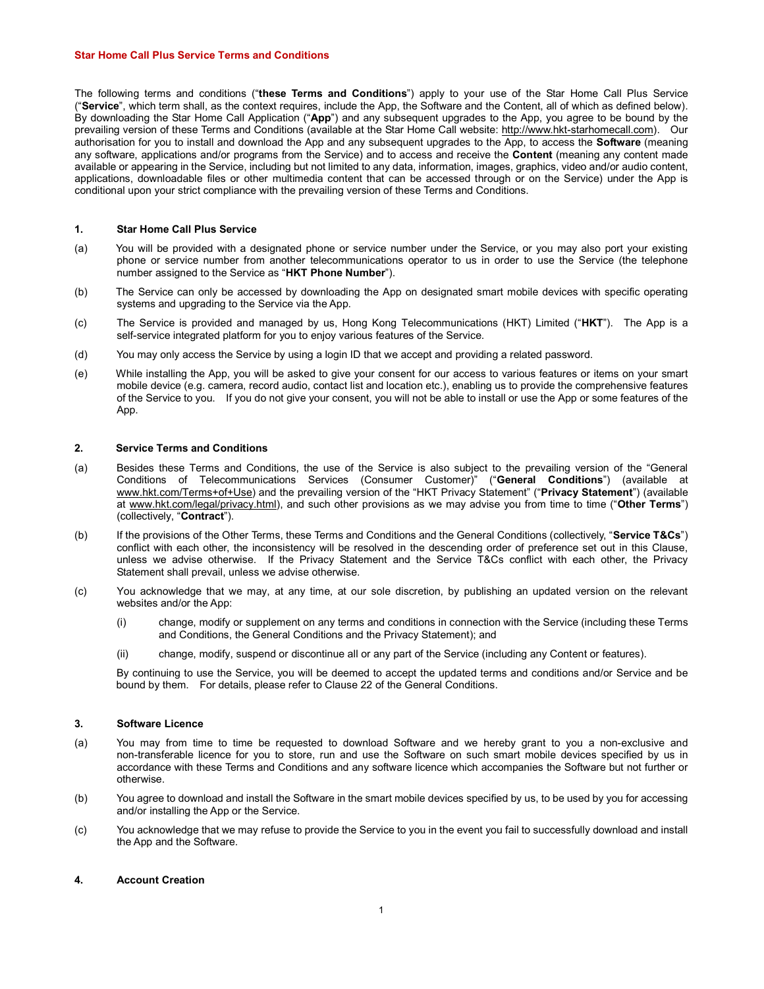#### Star Home Call Plus Service Terms and Conditions

The following terms and conditions ("these Terms and Conditions") apply to your use of the Star Home Call Plus Service ("Service", which term shall, as the context requires, include the App, the Software and the Content, all of which as defined below). By downloading the Star Home Call Application ("App") and any subsequent upgrades to the App, you agree to be bound by the prevailing version of these Terms and Conditions (available at the Star Home Call website: http://www.hkt-starhomecall.com). Our authorisation for you to install and download the App and any subsequent upgrades to the App, to access the Software (meaning any software, applications and/or programs from the Service) and to access and receive the **Content** (meaning any content made available or appearing in the Service, including but not limited to any data, information, images, graphics, video and/or audio content, applications, downloadable files or other multimedia content that can be accessed through or on the Service) under the App is conditional upon your strict compliance with the prevailing version of these Terms and Conditions.

# 1. Star Home Call Plus Service

- (a) You will be provided with a designated phone or service number under the Service, or you may also port your existing phone or service number from another telecommunications operator to us in order to use the Service (the telephone number assigned to the Service as "HKT Phone Number").
- (b) The Service can only be accessed by downloading the App on designated smart mobile devices with specific operating systems and upgrading to the Service via the App.
- (c) The Service is provided and managed by us, Hong Kong Telecommunications (HKT) Limited ("HKT"). The App is a self-service integrated platform for you to enjoy various features of the Service.
- (d) You may only access the Service by using a login ID that we accept and providing a related password.
- (e) While installing the App, you will be asked to give your consent for our access to various features or items on your smart mobile device (e.g. camera, record audio, contact list and location etc.), enabling us to provide the comprehensive features of the Service to you. If you do not give your consent, you will not be able to install or use the App or some features of the App.

### 2. Service Terms and Conditions

- (a) Besides these Terms and Conditions, the use of the Service is also subject to the prevailing version of the "General Conditions of Telecommunications Services (Consumer Customer)" ("General Conditions") (available at www.hkt.com/Terms+of+Use) and the prevailing version of the "HKT Privacy Statement" ("Privacy Statement") (available at www.hkt.com/legal/privacy.html), and such other provisions as we may advise you from time to time ("Other Terms") (collectively, "Contract").
- (b) If the provisions of the Other Terms, these Terms and Conditions and the General Conditions (collectively, "Service T&Cs") conflict with each other, the inconsistency will be resolved in the descending order of preference set out in this Clause, unless we advise otherwise. If the Privacy Statement and the Service T&Cs conflict with each other, the Privacy Statement shall prevail, unless we advise otherwise.
- (c) You acknowledge that we may, at any time, at our sole discretion, by publishing an updated version on the relevant websites and/or the App:
	- (i) change, modify or supplement on any terms and conditions in connection with the Service (including these Terms and Conditions, the General Conditions and the Privacy Statement); and
	- (ii) change, modify, suspend or discontinue all or any part of the Service (including any Content or features).

By continuing to use the Service, you will be deemed to accept the updated terms and conditions and/or Service and be bound by them. For details, please refer to Clause 22 of the General Conditions.

### 3. Software Licence

- (a) You may from time to time be requested to download Software and we hereby grant to you a non-exclusive and non-transferable licence for you to store, run and use the Software on such smart mobile devices specified by us in accordance with these Terms and Conditions and any software licence which accompanies the Software but not further or otherwise.
- (b) You agree to download and install the Software in the smart mobile devices specified by us, to be used by you for accessing and/or installing the App or the Service.
- (c) You acknowledge that we may refuse to provide the Service to you in the event you fail to successfully download and install the App and the Software.

# 4. Account Creation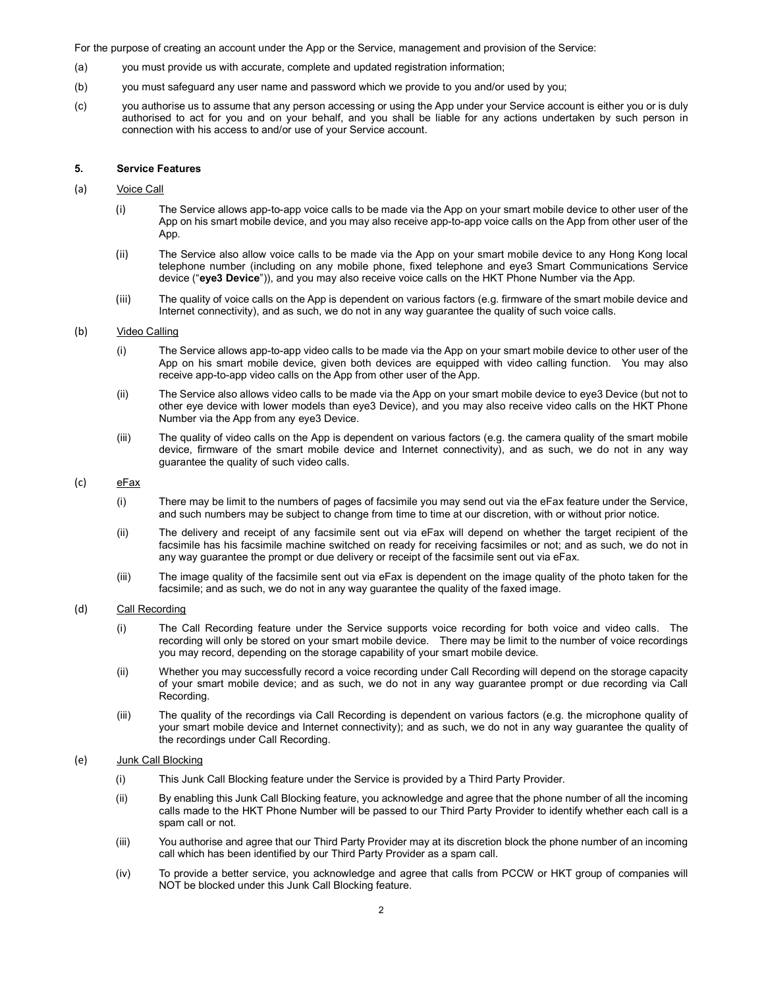For the purpose of creating an account under the App or the Service, management and provision of the Service:

- (a) you must provide us with accurate, complete and updated registration information;
- (b) you must safeguard any user name and password which we provide to you and/or used by you;
- (c) you authorise us to assume that any person accessing or using the App under your Service account is either you or is duly authorised to act for you and on your behalf, and you shall be liable for any actions undertaken by such person in connection with his access to and/or use of your Service account.

#### 5. Service Features

#### (a) Voice Call

- (i) The Service allows app-to-app voice calls to be made via the App on your smart mobile device to other user of the App on his smart mobile device, and you may also receive app-to-app voice calls on the App from other user of the App.
- (ii) The Service also allow voice calls to be made via the App on your smart mobile device to any Hong Kong local telephone number (including on any mobile phone, fixed telephone and eye3 Smart Communications Service device ("eye3 Device")), and you may also receive voice calls on the HKT Phone Number via the App.
- (iii) The quality of voice calls on the App is dependent on various factors (e.g. firmware of the smart mobile device and Internet connectivity), and as such, we do not in any way guarantee the quality of such voice calls.

#### (b) Video Calling

- (i) The Service allows app-to-app video calls to be made via the App on your smart mobile device to other user of the App on his smart mobile device, given both devices are equipped with video calling function. You may also receive app-to-app video calls on the App from other user of the App.
- (ii) The Service also allows video calls to be made via the App on your smart mobile device to eye3 Device (but not to other eye device with lower models than eye3 Device), and you may also receive video calls on the HKT Phone Number via the App from any eye3 Device.
- (iii) The quality of video calls on the App is dependent on various factors (e.g. the camera quality of the smart mobile device, firmware of the smart mobile device and Internet connectivity), and as such, we do not in any way guarantee the quality of such video calls.

# (c) eFax

- (i) There may be limit to the numbers of pages of facsimile you may send out via the eFax feature under the Service, and such numbers may be subject to change from time to time at our discretion, with or without prior notice.
- (ii) The delivery and receipt of any facsimile sent out via eFax will depend on whether the target recipient of the facsimile has his facsimile machine switched on ready for receiving facsimiles or not; and as such, we do not in any way guarantee the prompt or due delivery or receipt of the facsimile sent out via eFax.
- (iii) The image quality of the facsimile sent out via eFax is dependent on the image quality of the photo taken for the facsimile; and as such, we do not in any way guarantee the quality of the faxed image.

### (d) Call Recording

- (i) The Call Recording feature under the Service supports voice recording for both voice and video calls. The recording will only be stored on your smart mobile device. There may be limit to the number of voice recordings you may record, depending on the storage capability of your smart mobile device.
- (ii) Whether you may successfully record a voice recording under Call Recording will depend on the storage capacity of your smart mobile device; and as such, we do not in any way guarantee prompt or due recording via Call Recording.
- (iii) The quality of the recordings via Call Recording is dependent on various factors (e.g. the microphone quality of your smart mobile device and Internet connectivity); and as such, we do not in any way guarantee the quality of the recordings under Call Recording.

#### (e) Junk Call Blocking

- (i) This Junk Call Blocking feature under the Service is provided by a Third Party Provider.
- (ii) By enabling this Junk Call Blocking feature, you acknowledge and agree that the phone number of all the incoming calls made to the HKT Phone Number will be passed to our Third Party Provider to identify whether each call is a spam call or not.
- (iii) You authorise and agree that our Third Party Provider may at its discretion block the phone number of an incoming call which has been identified by our Third Party Provider as a spam call.
- (iv) To provide a better service, you acknowledge and agree that calls from PCCW or HKT group of companies will NOT be blocked under this Junk Call Blocking feature.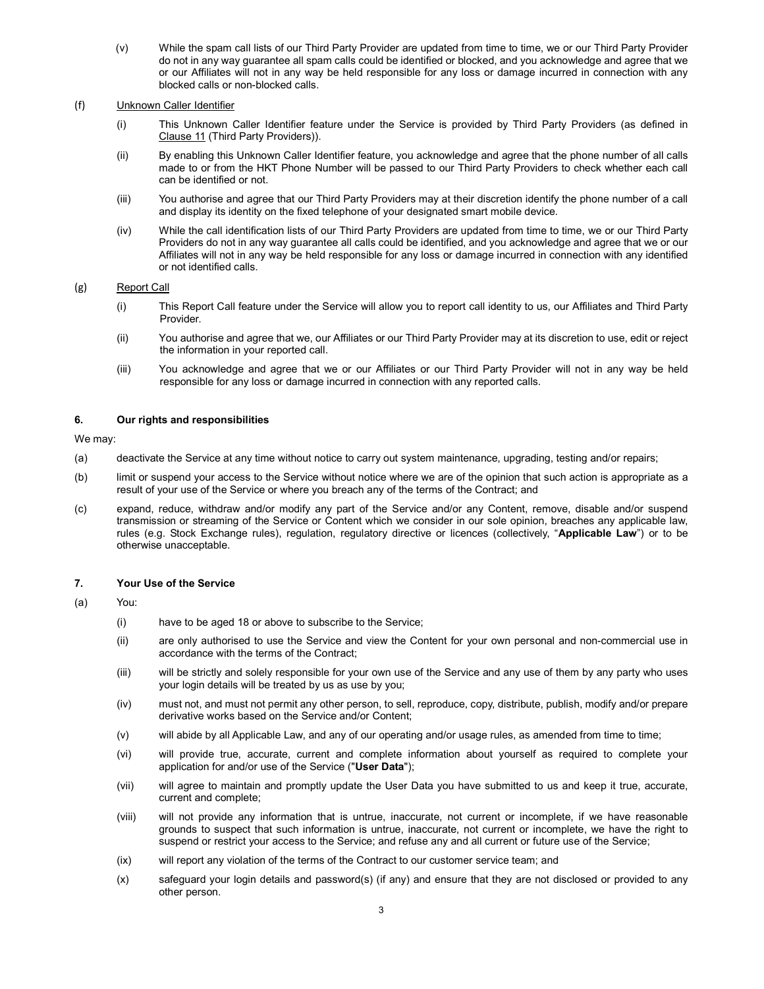(v) While the spam call lists of our Third Party Provider are updated from time to time, we or our Third Party Provider do not in any way guarantee all spam calls could be identified or blocked, and you acknowledge and agree that we or our Affiliates will not in any way be held responsible for any loss or damage incurred in connection with any blocked calls or non-blocked calls.

### (f) Unknown Caller Identifier

- (i) This Unknown Caller Identifier feature under the Service is provided by Third Party Providers (as defined in Clause 11 (Third Party Providers)).
- (ii) By enabling this Unknown Caller Identifier feature, you acknowledge and agree that the phone number of all calls made to or from the HKT Phone Number will be passed to our Third Party Providers to check whether each call can be identified or not.
- (iii) You authorise and agree that our Third Party Providers may at their discretion identify the phone number of a call and display its identity on the fixed telephone of your designated smart mobile device.
- (iv) While the call identification lists of our Third Party Providers are updated from time to time, we or our Third Party Providers do not in any way guarantee all calls could be identified, and you acknowledge and agree that we or our Affiliates will not in any way be held responsible for any loss or damage incurred in connection with any identified or not identified calls.

# (g) Report Call

- (i) This Report Call feature under the Service will allow you to report call identity to us, our Affiliates and Third Party Provider.
- (ii) You authorise and agree that we, our Affiliates or our Third Party Provider may at its discretion to use, edit or reject the information in your reported call.
- (iii) You acknowledge and agree that we or our Affiliates or our Third Party Provider will not in any way be held responsible for any loss or damage incurred in connection with any reported calls.

# 6. Our rights and responsibilities

We may:

- (a) deactivate the Service at any time without notice to carry out system maintenance, upgrading, testing and/or repairs;
- (b) limit or suspend your access to the Service without notice where we are of the opinion that such action is appropriate as a result of your use of the Service or where you breach any of the terms of the Contract; and
- (c) expand, reduce, withdraw and/or modify any part of the Service and/or any Content, remove, disable and/or suspend transmission or streaming of the Service or Content which we consider in our sole opinion, breaches any applicable law, rules (e.g. Stock Exchange rules), regulation, regulatory directive or licences (collectively, "Applicable Law") or to be otherwise unacceptable.

# 7. Your Use of the Service

# (a) You:

- (i) have to be aged 18 or above to subscribe to the Service;
- (ii) are only authorised to use the Service and view the Content for your own personal and non-commercial use in accordance with the terms of the Contract;
- (iii) will be strictly and solely responsible for your own use of the Service and any use of them by any party who uses your login details will be treated by us as use by you;
- (iv) must not, and must not permit any other person, to sell, reproduce, copy, distribute, publish, modify and/or prepare derivative works based on the Service and/or Content;
- (v) will abide by all Applicable Law, and any of our operating and/or usage rules, as amended from time to time;
- (vi) will provide true, accurate, current and complete information about yourself as required to complete your application for and/or use of the Service ("User Data");
- (vii) will agree to maintain and promptly update the User Data you have submitted to us and keep it true, accurate, current and complete;
- (viii) will not provide any information that is untrue, inaccurate, not current or incomplete, if we have reasonable grounds to suspect that such information is untrue, inaccurate, not current or incomplete, we have the right to suspend or restrict your access to the Service; and refuse any and all current or future use of the Service;
- (ix) will report any violation of the terms of the Contract to our customer service team; and
- (x) safeguard your login details and password(s) (if any) and ensure that they are not disclosed or provided to any other person.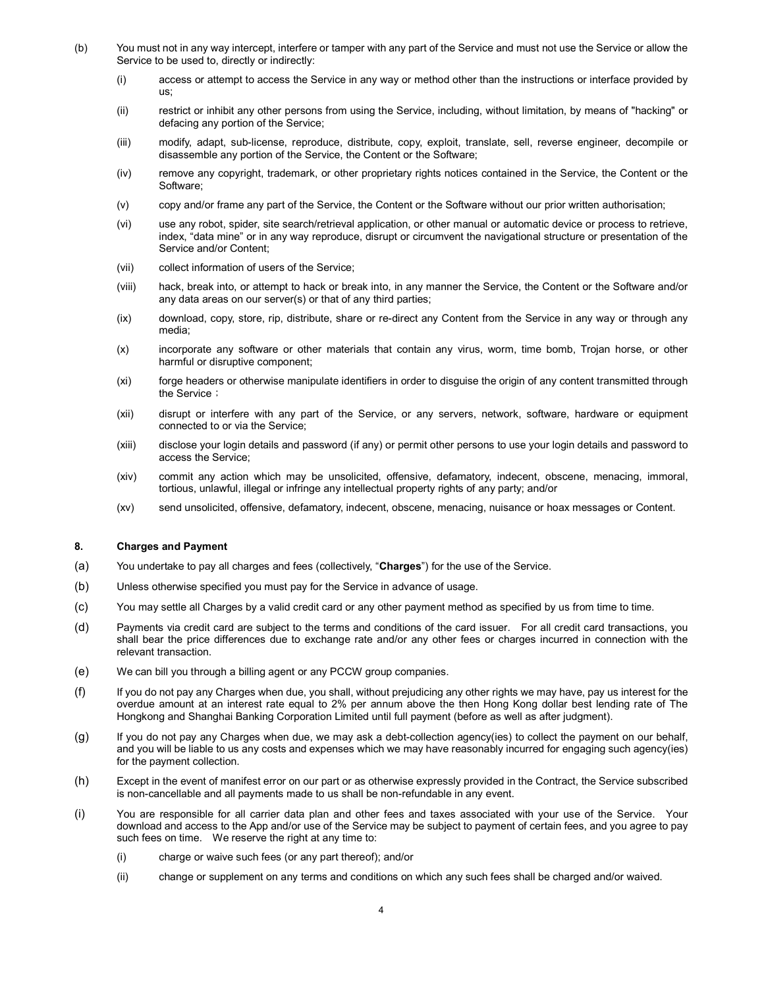- (b) You must not in any way intercept, interfere or tamper with any part of the Service and must not use the Service or allow the Service to be used to, directly or indirectly:
	- (i) access or attempt to access the Service in any way or method other than the instructions or interface provided by us;
	- (ii) restrict or inhibit any other persons from using the Service, including, without limitation, by means of "hacking" or defacing any portion of the Service;
	- (iii) modify, adapt, sub-license, reproduce, distribute, copy, exploit, translate, sell, reverse engineer, decompile or disassemble any portion of the Service, the Content or the Software;
	- (iv) remove any copyright, trademark, or other proprietary rights notices contained in the Service, the Content or the Software;
	- (v) copy and/or frame any part of the Service, the Content or the Software without our prior written authorisation;
	- (vi) use any robot, spider, site search/retrieval application, or other manual or automatic device or process to retrieve, index, "data mine" or in any way reproduce, disrupt or circumvent the navigational structure or presentation of the Service and/or Content;
	- (vii) collect information of users of the Service;
	- (viii) hack, break into, or attempt to hack or break into, in any manner the Service, the Content or the Software and/or any data areas on our server(s) or that of any third parties;
	- (ix) download, copy, store, rip, distribute, share or re-direct any Content from the Service in any way or through any media;
	- (x) incorporate any software or other materials that contain any virus, worm, time bomb, Trojan horse, or other harmful or disruptive component;
	- (xi) forge headers or otherwise manipulate identifiers in order to disguise the origin of any content transmitted through the Service;
	- (xii) disrupt or interfere with any part of the Service, or any servers, network, software, hardware or equipment connected to or via the Service;
	- (xiii) disclose your login details and password (if any) or permit other persons to use your login details and password to access the Service;
	- (xiv) commit any action which may be unsolicited, offensive, defamatory, indecent, obscene, menacing, immoral, tortious, unlawful, illegal or infringe any intellectual property rights of any party; and/or
	- (xv) send unsolicited, offensive, defamatory, indecent, obscene, menacing, nuisance or hoax messages or Content.

# 8. Charges and Payment

- (a) You undertake to pay all charges and fees (collectively, "Charges") for the use of the Service.
- (b) Unless otherwise specified you must pay for the Service in advance of usage.
- (c) You may settle all Charges by a valid credit card or any other payment method as specified by us from time to time.
- (d) Payments via credit card are subject to the terms and conditions of the card issuer. For all credit card transactions, you shall bear the price differences due to exchange rate and/or any other fees or charges incurred in connection with the relevant transaction.
- (e) We can bill you through a billing agent or any PCCW group companies.
- (f) If you do not pay any Charges when due, you shall, without prejudicing any other rights we may have, pay us interest for the overdue amount at an interest rate equal to 2% per annum above the then Hong Kong dollar best lending rate of The Hongkong and Shanghai Banking Corporation Limited until full payment (before as well as after judgment).
- (g) If you do not pay any Charges when due, we may ask a debt-collection agency(ies) to collect the payment on our behalf, and you will be liable to us any costs and expenses which we may have reasonably incurred for engaging such agency(ies) for the payment collection.
- (h) Except in the event of manifest error on our part or as otherwise expressly provided in the Contract, the Service subscribed is non-cancellable and all payments made to us shall be non-refundable in any event.
- (i) You are responsible for all carrier data plan and other fees and taxes associated with your use of the Service. Your download and access to the App and/or use of the Service may be subject to payment of certain fees, and you agree to pay such fees on time. We reserve the right at any time to:
	- (i) charge or waive such fees (or any part thereof); and/or
	- (ii) change or supplement on any terms and conditions on which any such fees shall be charged and/or waived.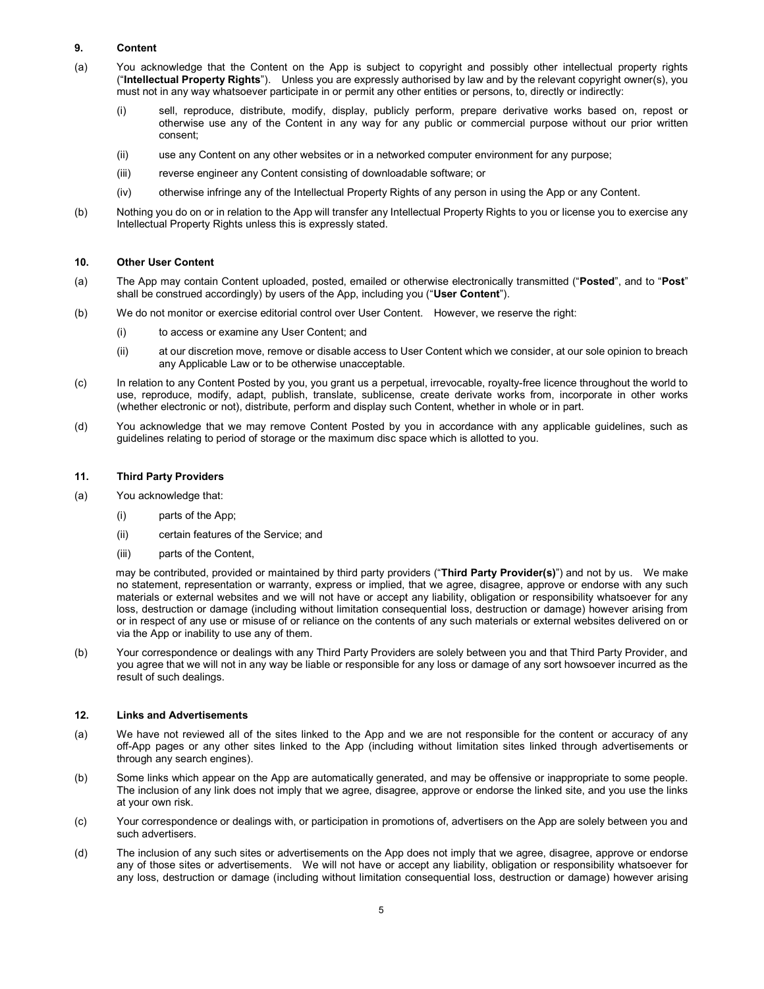# 9. Content

- (a) You acknowledge that the Content on the App is subject to copyright and possibly other intellectual property rights ("Intellectual Property Rights"). Unless you are expressly authorised by law and by the relevant copyright owner(s), you must not in any way whatsoever participate in or permit any other entities or persons, to, directly or indirectly:
	- (i) sell, reproduce, distribute, modify, display, publicly perform, prepare derivative works based on, repost or otherwise use any of the Content in any way for any public or commercial purpose without our prior written consent;
	- (ii) use any Content on any other websites or in a networked computer environment for any purpose;
	- (iii) reverse engineer any Content consisting of downloadable software; or
	- (iv) otherwise infringe any of the Intellectual Property Rights of any person in using the App or any Content.
- (b) Nothing you do on or in relation to the App will transfer any Intellectual Property Rights to you or license you to exercise any Intellectual Property Rights unless this is expressly stated.

# 10. Other User Content

- (a) The App may contain Content uploaded, posted, emailed or otherwise electronically transmitted ("Posted", and to "Post" shall be construed accordingly) by users of the App, including you ("User Content").
- (b) We do not monitor or exercise editorial control over User Content. However, we reserve the right:
	- (i) to access or examine any User Content; and
	- (ii) at our discretion move, remove or disable access to User Content which we consider, at our sole opinion to breach any Applicable Law or to be otherwise unacceptable.
- (c) In relation to any Content Posted by you, you grant us a perpetual, irrevocable, royalty-free licence throughout the world to use, reproduce, modify, adapt, publish, translate, sublicense, create derivate works from, incorporate in other works (whether electronic or not), distribute, perform and display such Content, whether in whole or in part.
- (d) You acknowledge that we may remove Content Posted by you in accordance with any applicable guidelines, such as guidelines relating to period of storage or the maximum disc space which is allotted to you.

#### 11. Third Party Providers

- (a) You acknowledge that:
	- (i) parts of the App;
	- (ii) certain features of the Service; and
	- (iii) parts of the Content,

may be contributed, provided or maintained by third party providers ("Third Party Provider(s)") and not by us. We make no statement, representation or warranty, express or implied, that we agree, disagree, approve or endorse with any such materials or external websites and we will not have or accept any liability, obligation or responsibility whatsoever for any loss, destruction or damage (including without limitation consequential loss, destruction or damage) however arising from or in respect of any use or misuse of or reliance on the contents of any such materials or external websites delivered on or via the App or inability to use any of them.

(b) Your correspondence or dealings with any Third Party Providers are solely between you and that Third Party Provider, and you agree that we will not in any way be liable or responsible for any loss or damage of any sort howsoever incurred as the result of such dealings.

#### 12. Links and Advertisements

- (a) We have not reviewed all of the sites linked to the App and we are not responsible for the content or accuracy of any off-App pages or any other sites linked to the App (including without limitation sites linked through advertisements or through any search engines).
- (b) Some links which appear on the App are automatically generated, and may be offensive or inappropriate to some people. The inclusion of any link does not imply that we agree, disagree, approve or endorse the linked site, and you use the links at your own risk.
- (c) Your correspondence or dealings with, or participation in promotions of, advertisers on the App are solely between you and such advertisers.
- (d) The inclusion of any such sites or advertisements on the App does not imply that we agree, disagree, approve or endorse any of those sites or advertisements. We will not have or accept any liability, obligation or responsibility whatsoever for any loss, destruction or damage (including without limitation consequential loss, destruction or damage) however arising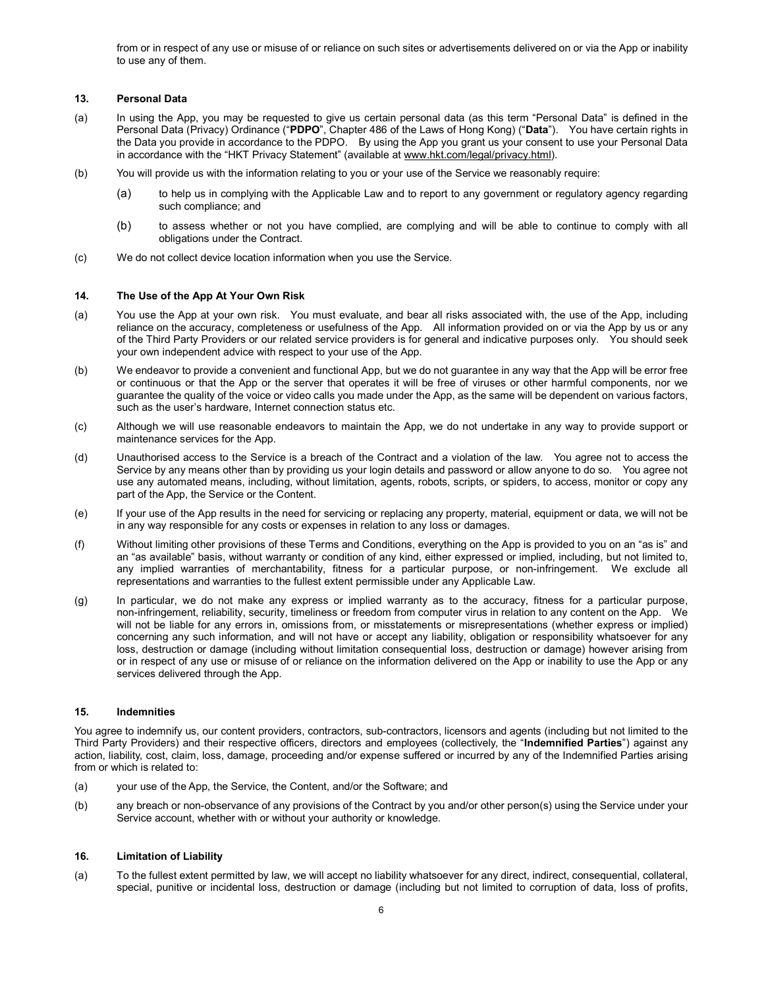from or in respect of any use or misuse of or reliance on such sites or advertisements delivered on or via the App or inability to use any of them.

# 13. Personal Data

- (a) In using the App, you may be requested to give us certain personal data (as this term "Personal Data" is defined in the Personal Data (Privacy) Ordinance ("PDPO", Chapter 486 of the Laws of Hong Kong) ("Data"). You have certain rights in the Data you provide in accordance to the PDPO. By using the App you grant us your consent to use your Personal Data in accordance with the "HKT Privacy Statement" (available at www.hkt.com/legal/privacy.html).
- (b) You will provide us with the information relating to you or your use of the Service we reasonably require:
	- (a) to help us in complying with the Applicable Law and to report to any government or regulatory agency regarding such compliance; and
	- (b) to assess whether or not you have complied, are complying and will be able to continue to comply with all obligations under the Contract.
- (c) We do not collect device location information when you use the Service.

# 14. The Use of the App At Your Own Risk

- (a) You use the App at your own risk. You must evaluate, and bear all risks associated with, the use of the App, including reliance on the accuracy, completeness or usefulness of the App. All information provided on or via the App by us or any of the Third Party Providers or our related service providers is for general and indicative purposes only. You should seek your own independent advice with respect to your use of the App.
- (b) We endeavor to provide a convenient and functional App, but we do not guarantee in any way that the App will be error free or continuous or that the App or the server that operates it will be free of viruses or other harmful components, nor we guarantee the quality of the voice or video calls you made under the App, as the same will be dependent on various factors, such as the user's hardware, Internet connection status etc.
- (c) Although we will use reasonable endeavors to maintain the App, we do not undertake in any way to provide support or maintenance services for the App.
- (d) Unauthorised access to the Service is a breach of the Contract and a violation of the law. You agree not to access the Service by any means other than by providing us your login details and password or allow anyone to do so. You agree not use any automated means, including, without limitation, agents, robots, scripts, or spiders, to access, monitor or copy any part of the App, the Service or the Content.
- (e) If your use of the App results in the need for servicing or replacing any property, material, equipment or data, we will not be in any way responsible for any costs or expenses in relation to any loss or damages.
- (f) Without limiting other provisions of these Terms and Conditions, everything on the App is provided to you on an "as is" and an "as available" basis, without warranty or condition of any kind, either expressed or implied, including, but not limited to, any implied warranties of merchantability, fitness for a particular purpose, or non-infringement. We exclude all representations and warranties to the fullest extent permissible under any Applicable Law.
- (g) In particular, we do not make any express or implied warranty as to the accuracy, fitness for a particular purpose, non-infringement, reliability, security, timeliness or freedom from computer virus in relation to any content on the App. We will not be liable for any errors in, omissions from, or misstatements or misrepresentations (whether express or implied) concerning any such information, and will not have or accept any liability, obligation or responsibility whatsoever for any loss, destruction or damage (including without limitation consequential loss, destruction or damage) however arising from or in respect of any use or misuse of or reliance on the information delivered on the App or inability to use the App or any services delivered through the App.

# 15. Indemnities

You agree to indemnify us, our content providers, contractors, sub-contractors, licensors and agents (including but not limited to the Third Party Providers) and their respective officers, directors and employees (collectively, the "Indemnified Parties") against any action, liability, cost, claim, loss, damage, proceeding and/or expense suffered or incurred by any of the Indemnified Parties arising from or which is related to:

- (a) your use of the App, the Service, the Content, and/or the Software; and
- (b) any breach or non-observance of any provisions of the Contract by you and/or other person(s) using the Service under your Service account, whether with or without your authority or knowledge.

# 16. Limitation of Liability

(a) To the fullest extent permitted by law, we will accept no liability whatsoever for any direct, indirect, consequential, collateral, special, punitive or incidental loss, destruction or damage (including but not limited to corruption of data, loss of profits,